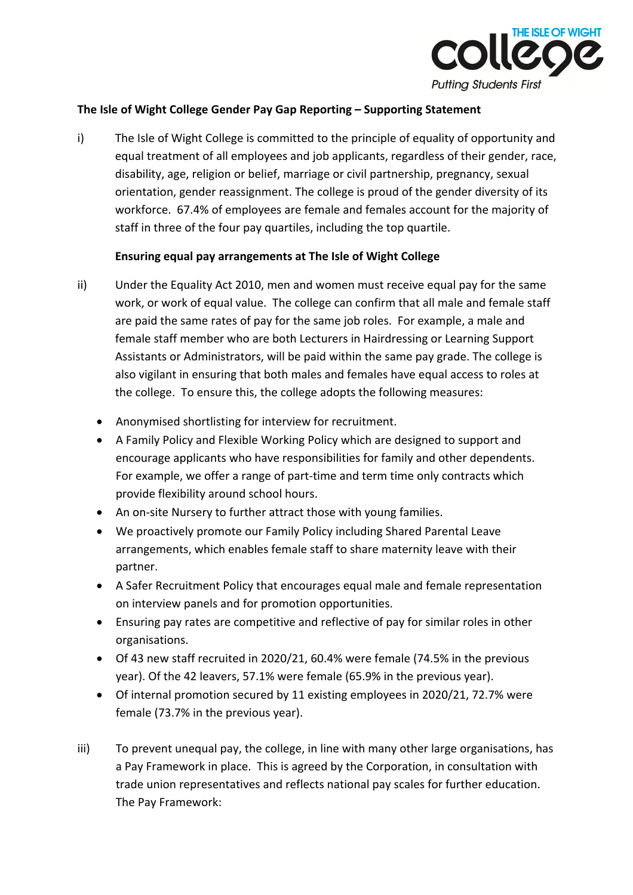

#### **The Isle of Wight College Gender Pay Gap Reporting – Supporting Statement**

i) The Isle of Wight College is committed to the principle of equality of opportunity and equal treatment of all employees and job applicants, regardless of their gender, race, disability, age, religion or belief, marriage or civil partnership, pregnancy, sexual orientation, gender reassignment. The college is proud of the gender diversity of its workforce. 67.4% of employees are female and females account for the majority of staff in three of the four pay quartiles, including the top quartile.

## **Ensuring equal pay arrangements at The Isle of Wight College**

- ii) Under the Equality Act 2010, men and women must receive equal pay for the same work, or work of equal value. The college can confirm that all male and female staff are paid the same rates of pay for the same job roles. For example, a male and female staff member who are both Lecturers in Hairdressing or Learning Support Assistants or Administrators, will be paid within the same pay grade. The college is also vigilant in ensuring that both males and females have equal access to roles at the college. To ensure this, the college adopts the following measures:
	- Anonymised shortlisting for interview for recruitment.
	- A Family Policy and Flexible Working Policy which are designed to support and encourage applicants who have responsibilities for family and other dependents. For example, we offer a range of part-time and term time only contracts which provide flexibility around school hours.
	- An on-site Nursery to further attract those with young families.
	- We proactively promote our Family Policy including Shared Parental Leave arrangements, which enables female staff to share maternity leave with their partner.
	- A Safer Recruitment Policy that encourages equal male and female representation on interview panels and for promotion opportunities.
	- Ensuring pay rates are competitive and reflective of pay for similar roles in other organisations.
	- Of 43 new staff recruited in 2020/21, 60.4% were female (74.5% in the previous year). Of the 42 leavers, 57.1% were female (65.9% in the previous year).
	- Of internal promotion secured by 11 existing employees in 2020/21, 72.7% were female (73.7% in the previous year).
- iii) To prevent unequal pay, the college, in line with many other large organisations, has a Pay Framework in place. This is agreed by the Corporation, in consultation with trade union representatives and reflects national pay scales for further education. The Pay Framework: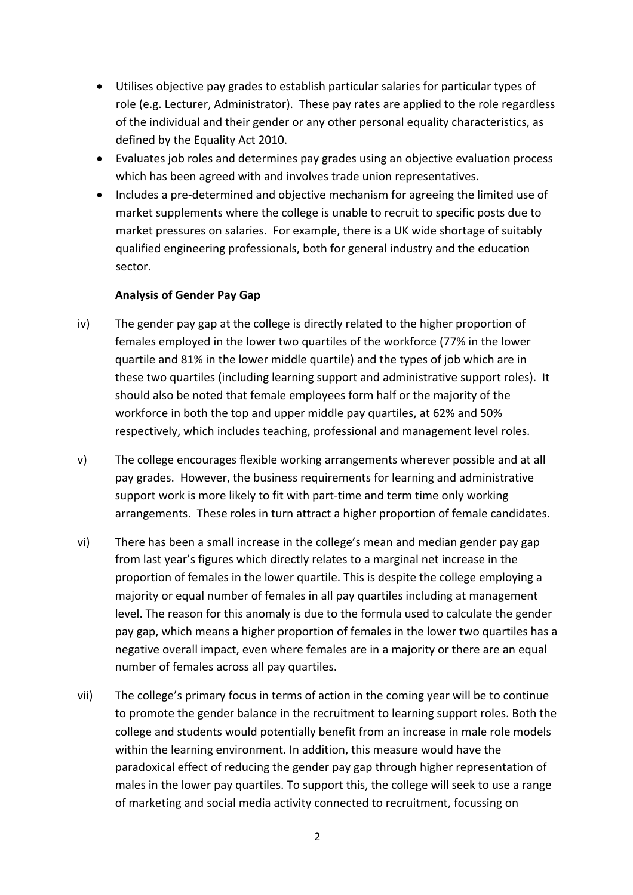- Utilises objective pay grades to establish particular salaries for particular types of role (e.g. Lecturer, Administrator). These pay rates are applied to the role regardless of the individual and their gender or any other personal equality characteristics, as defined by the Equality Act 2010.
- Evaluates job roles and determines pay grades using an objective evaluation process which has been agreed with and involves trade union representatives.
- Includes a pre-determined and objective mechanism for agreeing the limited use of market supplements where the college is unable to recruit to specific posts due to market pressures on salaries. For example, there is a UK wide shortage of suitably qualified engineering professionals, both for general industry and the education sector.

## **Analysis of Gender Pay Gap**

- iv) The gender pay gap at the college is directly related to the higher proportion of females employed in the lower two quartiles of the workforce (77% in the lower quartile and 81% in the lower middle quartile) and the types of job which are in these two quartiles (including learning support and administrative support roles). It should also be noted that female employees form half or the majority of the workforce in both the top and upper middle pay quartiles, at 62% and 50% respectively, which includes teaching, professional and management level roles.
- v) The college encourages flexible working arrangements wherever possible and at all pay grades. However, the business requirements for learning and administrative support work is more likely to fit with part-time and term time only working arrangements. These roles in turn attract a higher proportion of female candidates.
- vi) There has been a small increase in the college's mean and median gender pay gap from last year's figures which directly relates to a marginal net increase in the proportion of females in the lower quartile. This is despite the college employing a majority or equal number of females in all pay quartiles including at management level. The reason for this anomaly is due to the formula used to calculate the gender pay gap, which means a higher proportion of females in the lower two quartiles has a negative overall impact, even where females are in a majority or there are an equal number of females across all pay quartiles.
- vii) The college's primary focus in terms of action in the coming year will be to continue to promote the gender balance in the recruitment to learning support roles. Both the college and students would potentially benefit from an increase in male role models within the learning environment. In addition, this measure would have the paradoxical effect of reducing the gender pay gap through higher representation of males in the lower pay quartiles. To support this, the college will seek to use a range of marketing and social media activity connected to recruitment, focussing on